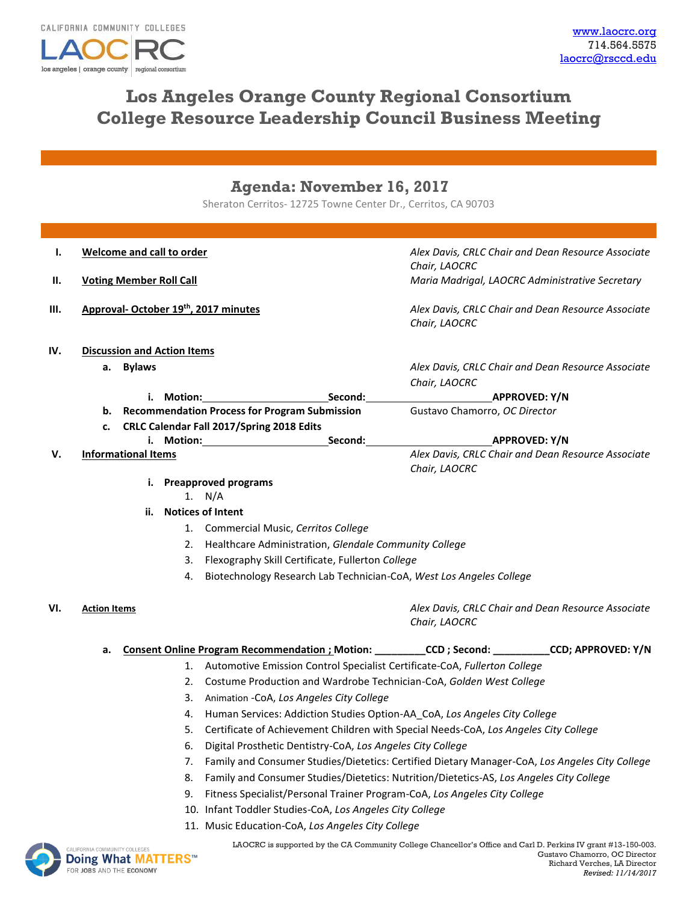

# **Los Angeles Orange County Regional Consortium College Resource Leadership Council Business Meeting**

## **Agenda: November 16, 2017**

Sheraton Cerritos- 12725 Towne Center Dr., Cerritos, CA 90703

| Ι.   | <b>Welcome and call to order</b>                                                                     |                                                          | Alex Davis, CRLC Chair and Dean Resource Associate                                               |  |
|------|------------------------------------------------------------------------------------------------------|----------------------------------------------------------|--------------------------------------------------------------------------------------------------|--|
|      |                                                                                                      |                                                          | Chair, LAOCRC                                                                                    |  |
| Ш.   | <b>Voting Member Roll Call</b>                                                                       |                                                          | Maria Madrigal, LAOCRC Administrative Secretary                                                  |  |
| III. | Approval- October 19 <sup>th</sup> , 2017 minutes                                                    |                                                          | Alex Davis, CRLC Chair and Dean Resource Associate<br>Chair, LAOCRC                              |  |
| IV.  | <b>Discussion and Action Items</b>                                                                   |                                                          |                                                                                                  |  |
|      | a. Bylaws                                                                                            |                                                          | Alex Davis, CRLC Chair and Dean Resource Associate                                               |  |
|      |                                                                                                      |                                                          | Chair, LAOCRC                                                                                    |  |
|      |                                                                                                      |                                                          | <b>APPROVED: Y/N</b>                                                                             |  |
|      |                                                                                                      | b. Recommendation Process for Program Submission         | Gustavo Chamorro, OC Director                                                                    |  |
|      | CRLC Calendar Fall 2017/Spring 2018 Edits<br>c.                                                      |                                                          |                                                                                                  |  |
|      |                                                                                                      |                                                          | <b>APPROVED: Y/N</b>                                                                             |  |
| V.   | <b>Informational Items</b>                                                                           |                                                          | Alex Davis, CRLC Chair and Dean Resource Associate                                               |  |
|      | Chair, LAOCRC<br>i. Preapproved programs<br>1. $N/A$                                                 |                                                          |                                                                                                  |  |
|      |                                                                                                      |                                                          |                                                                                                  |  |
|      | <b>Notices of Intent</b><br>ii.                                                                      |                                                          |                                                                                                  |  |
|      |                                                                                                      | 1. Commercial Music, Cerritos College                    |                                                                                                  |  |
|      | 2. Healthcare Administration, Glendale Community College                                             |                                                          |                                                                                                  |  |
|      | Flexography Skill Certificate, Fullerton College<br>3.                                               |                                                          |                                                                                                  |  |
|      |                                                                                                      | 4.                                                       |                                                                                                  |  |
|      | Biotechnology Research Lab Technician-CoA, West Los Angeles College                                  |                                                          |                                                                                                  |  |
| VI.  | <b>Action Items</b>                                                                                  |                                                          | Alex Davis, CRLC Chair and Dean Resource Associate<br>Chair, LAOCRC                              |  |
|      | а.                                                                                                   |                                                          | Consent Online Program Recommendation ; Motion: ________CCD; Second: _________CCD; APPROVED: Y/N |  |
|      | 1. Automotive Emission Control Specialist Certificate-CoA, Fullerton College                         |                                                          |                                                                                                  |  |
|      | 2.<br>Costume Production and Wardrobe Technician-CoA, Golden West College                            |                                                          |                                                                                                  |  |
|      | Animation -CoA, Los Angeles City College<br>3.                                                       |                                                          |                                                                                                  |  |
|      | Human Services: Addiction Studies Option-AA_CoA, Los Angeles City College<br>4.                      |                                                          |                                                                                                  |  |
|      | 5. Certificate of Achievement Children with Special Needs-CoA, Los Angeles City College              |                                                          |                                                                                                  |  |
|      | Digital Prosthetic Dentistry-CoA, Los Angeles City College<br>6.                                     |                                                          |                                                                                                  |  |
|      | Family and Consumer Studies/Dietetics: Certified Dietary Manager-CoA, Los Angeles City College<br>7. |                                                          |                                                                                                  |  |
|      | 8.                                                                                                   |                                                          | Family and Consumer Studies/Dietetics: Nutrition/Dietetics-AS, Los Angeles City College          |  |
|      |                                                                                                      | 9.                                                       | Fitness Specialist/Personal Trainer Program-CoA, Los Angeles City College                        |  |
|      |                                                                                                      | 10. Infant Toddler Studies-CoA, Los Angeles City College |                                                                                                  |  |
|      |                                                                                                      | 11. Music Education-CoA, Los Angeles City College        |                                                                                                  |  |
|      |                                                                                                      |                                                          |                                                                                                  |  |